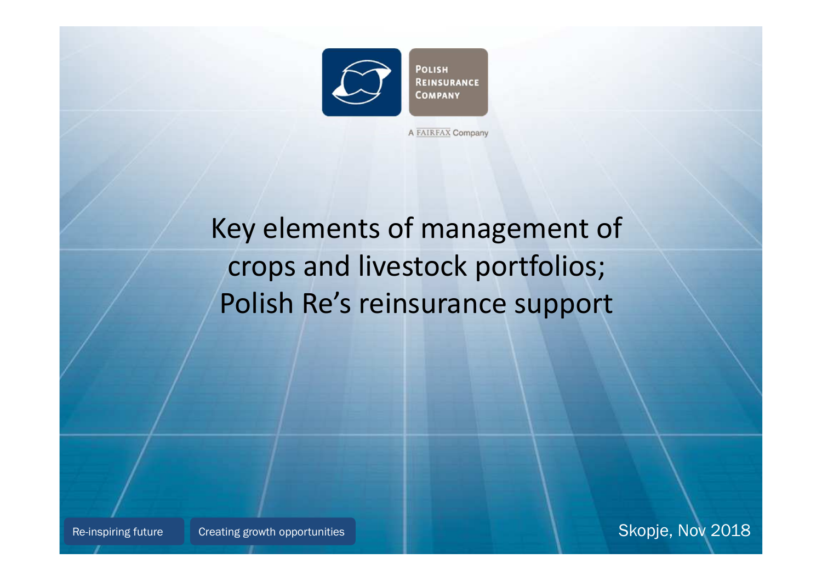

A FAIRFAX Company

# Key elements of management of crops and livestock portfolios; Polish Re's reinsurance support

Skopje, Nov <sup>2018</sup>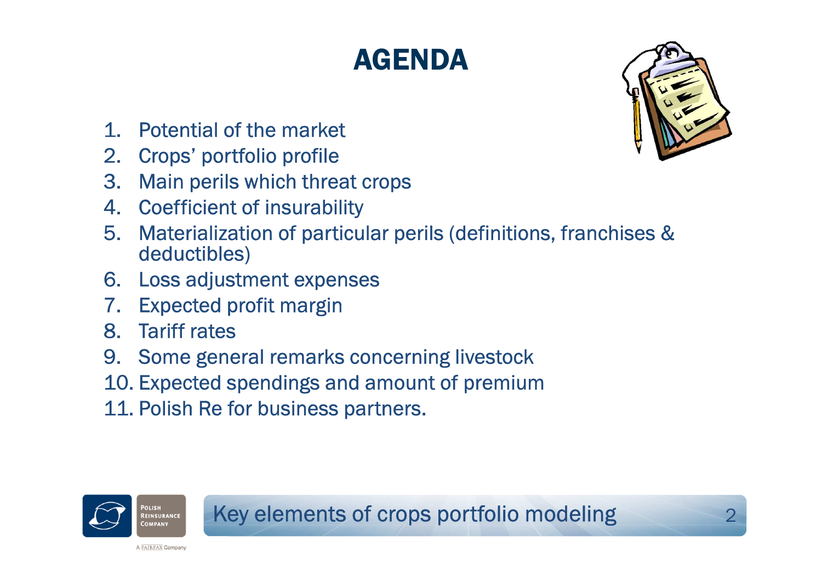# AGENDA



- 1.Potential of the market
- 2. Crops' portfolio profile
- Main perils which threat crops3.
- 4. Coefficient of insurability
- Materialization of particular perils (definitions, franchises & 5.deductibles)
- 6. Loss adjustment expenses
- 7. Expected profit margin
- 8. Tariff rates
- 9. Some general remarks concerning livestock
- 10. Expected spendings and amount of premium
- 11. Polish Re for business partners.

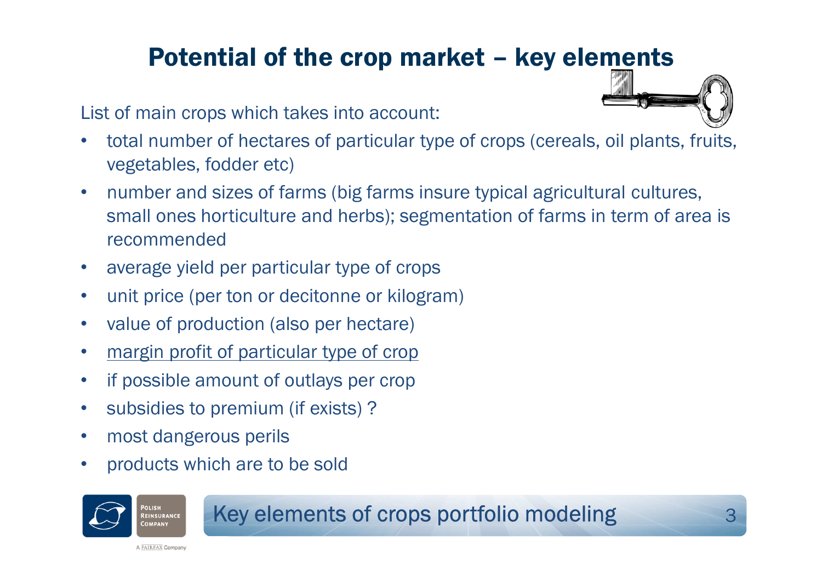## Potential of the crop market – key elements

List of main crops which takes into account:

- • total number of hectares of particular type of crops (cereals, oil plants, fruits, vegetables, fodder etc)
- • number and sizes of farms (big farms insure typical agricultural cultures, small ones horticulture and herbs); segmentation of farms in term of area is recommended
- $\bullet$ average yield per particular type of crops
- •unit price (per ton or decitonne or kilogram)
- •value of production (also per hectare)
- •margin profit of particular type of crop
- •if possible amount of outlays per crop
- $\bullet$ subsidies to premium (if exists) ?
- •most dangerous perils
- •products which are to be sold



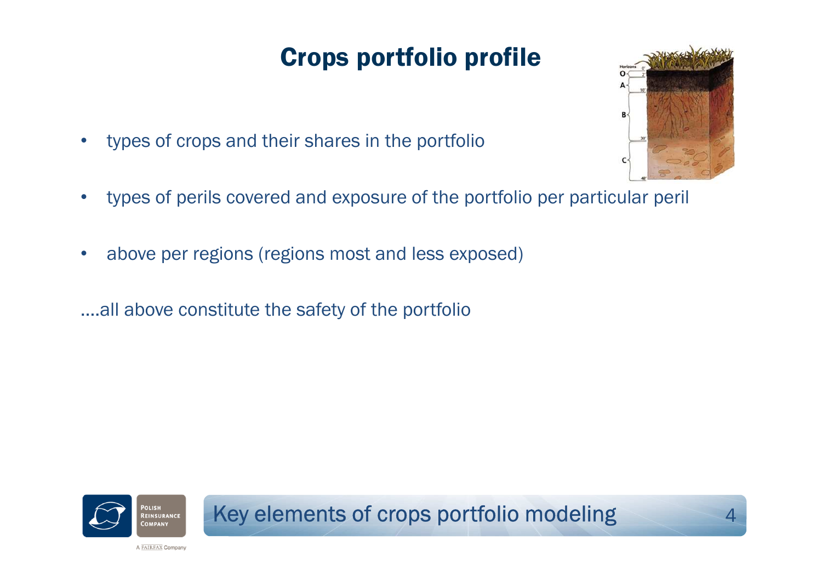## Crops portfolio profile

- •types of crops and their shares in the portfolio
- •types of perils covered and exposure of the portfolio per particular peril
- •above per regions (regions most and less exposed)
- ….all above constitute the safety of the portfolio



Key elements of crops portfolio modeling



4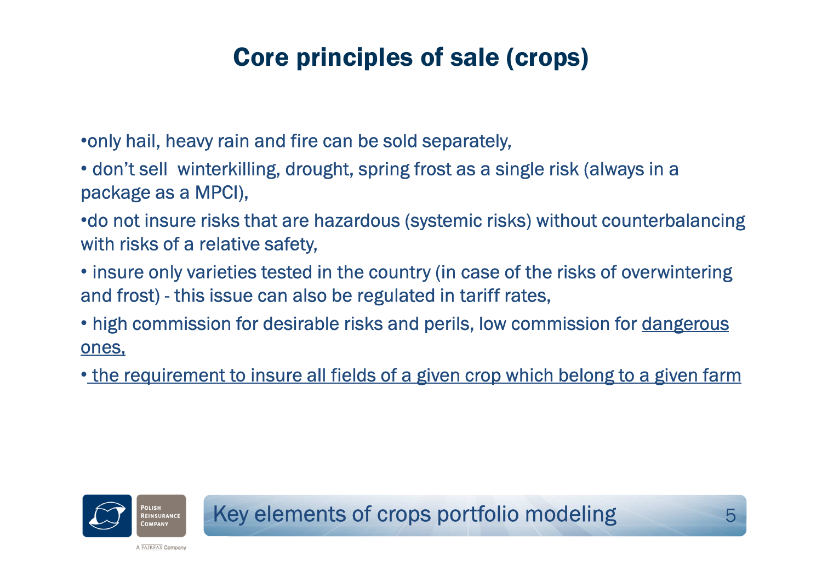### Core principles of sale (crops)

•only hail, heavy rain and fire can be sold separately,

• don't sell winterkilling, drought, spring frost as a single risk (always in a package as a MPCI),

•do not insure risks that are hazardous (systemic risks) without counterbalancing with risks of a relative safety,

• insure only varieties tested in the country (in case of the risks of overwintering and frost) this issue can also be regulated in tariff rates,

• high commission for desirable risks and perils, low commission for <u>dangerous</u> ones,

• the requirement to insure all fields of a given crop which belong to a given farm

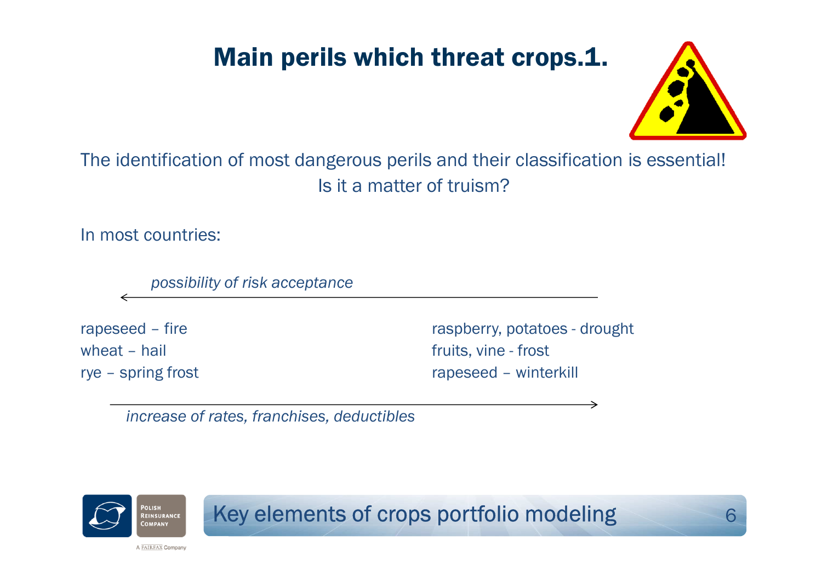### Main perils which threat crops.1.



6

The identification of most dangerous perils and their classification is essential!Is it a matter of truism?

In most countries:

*possibility of risk acceptance*

rapeseed – fire raspberry, potatoes - drought<br>wheat – hail raspberry, potatoes - drought<br>fruits, vine - frost wheat – hail  $\begin{array}{ccc} 1 & 0 & 0 & 0 \\ 0 & 0 & 0 & 0 \\ 0 & 0 & 0 & 0 \\ 0 & 0 & 0 & 0 \\ 0 & 0 & 0 & 0 \\ 0 & 0 & 0 & 0 \\ 0 & 0 & 0 & 0 \\ 0 & 0 & 0 & 0 \\ 0 & 0 & 0 & 0 \\ 0 & 0 & 0 & 0 \\ 0 & 0 & 0 & 0 \\ 0 & 0 & 0 & 0 \\ 0 & 0 & 0 & 0 \\ 0 & 0 & 0 & 0 \\ 0 & 0 & 0 & 0 \\ 0 & 0 & 0 & 0 \\ 0 & 0 & 0 &$ rapeseed – winterkill

→

*increase of rates, franchises, deductibles*



Key elements of crops portfolio modeling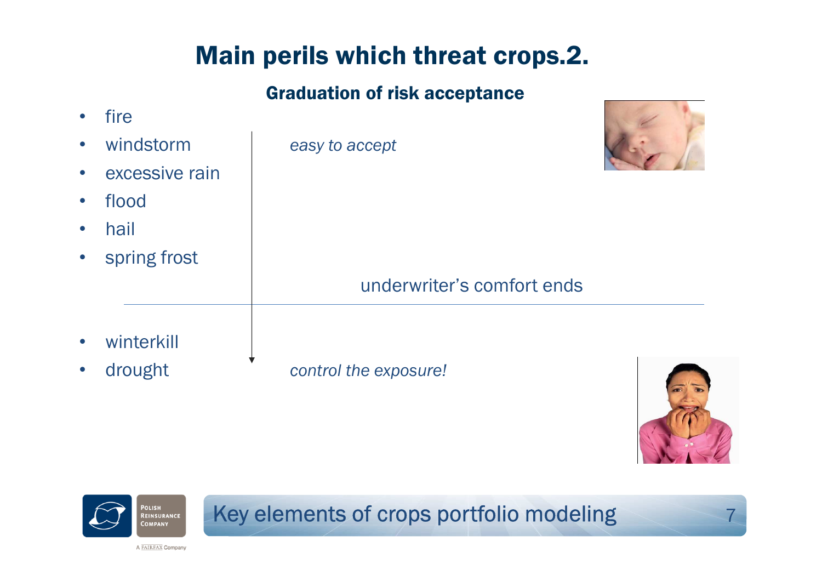### Main perils which threat crops.2.

### Graduation of risk acceptance

| $\bullet$ | fire           |                            |  |
|-----------|----------------|----------------------------|--|
| $\bullet$ | windstorm      | easy to accept             |  |
| $\bullet$ | excessive rain |                            |  |
| $\bullet$ | flood          |                            |  |
| $\bullet$ | hail           |                            |  |
| $\bullet$ | spring frost   |                            |  |
|           |                | underwriter's comfort ends |  |
| $\bullet$ | winterkill     |                            |  |
| $\bullet$ | drought        | control the exposure!      |  |

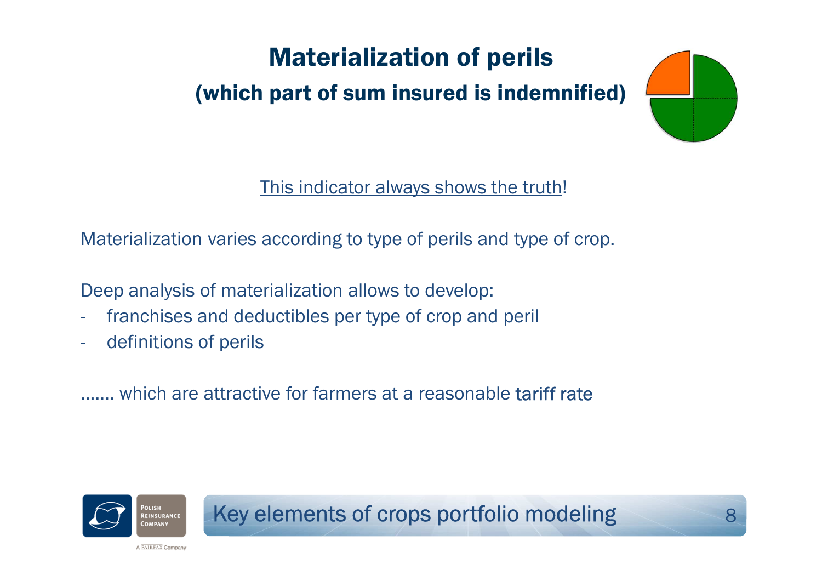## Materialization of perils

### (which part of sum insured is indemnified)



This indicator always shows the truth!

Materialization varies according to type of perils and type of crop.

Deep analysis of materialization allows to develop:

- franchises and deductibles per type of crop and peril
- definitions of perils

……. which are attractive for farmers at a reasonable tariff rate

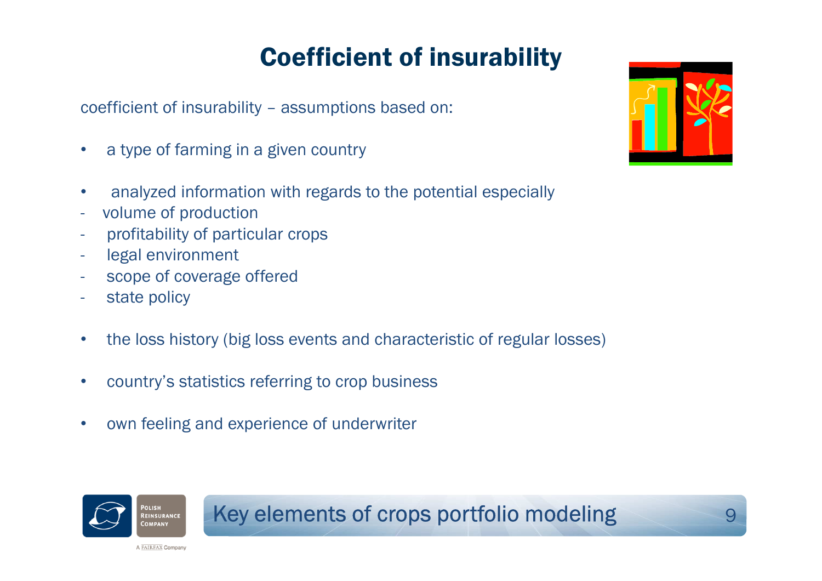## Coefficient of insurability

coefficient of insurability – assumptions based on:

- •<sup>a</sup> type of farming in a given country
- •analyzed information with regards to the potential especially
- volume of production
- profitability of particular crops
- legal environment
- scope of coverage offered
- state policy
- $\bullet$ the loss history (big loss events and characteristic of regular losses)
- •country's statistics referring to crop business
- •own feeling and experience of underwriter



### Key elements of crops portfolio modeling



9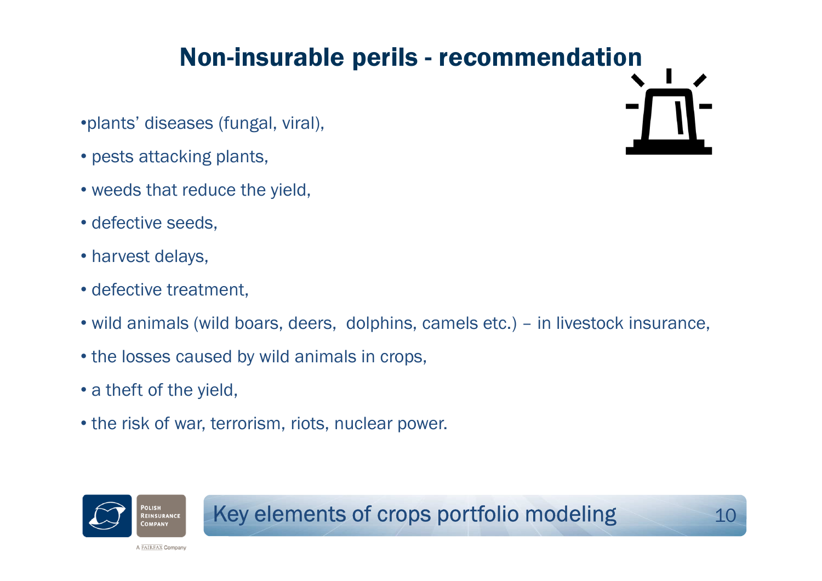### Non-insurable perils - recommendation

- •plants' diseases (fungal, viral),
- pests attacking plants,
- weeds that reduce the yield,
- defective seeds,
- harvest delays,
- defective treatment,
- wild animals (wild boars, deers, dolphins, camels etc.) in livestock insurance,
- the losses caused by wild animals in crops,
- <sup>a</sup> theft of the yield,

A FAIRFAX Company

• the risk of war, terrorism, riots, nuclear power.



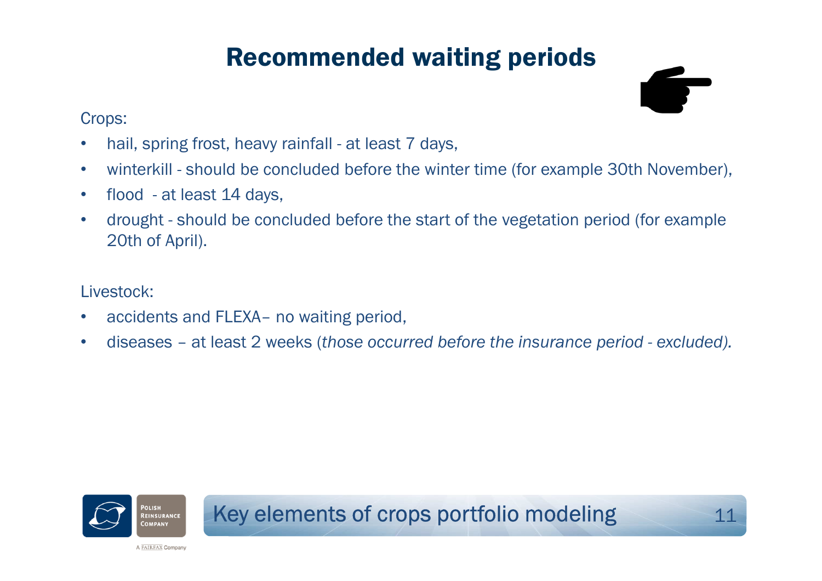### Recommended waiting periods

### Crops:

- •hail, spring frost, heavy rainfall - at least 7 days,
- •winterkill - should be concluded before the winter time (for example 30th November),
- $\bullet$ flood - at least 14 days,
- • drought - should be concluded before the start of the vegetation period (for example 20th of April).

### Livestock:

- $\bullet$ accidents and FLEXA– no waiting period,
- •diseases – at least 2 weeks (*those occurred before the insurance period - excluded).*

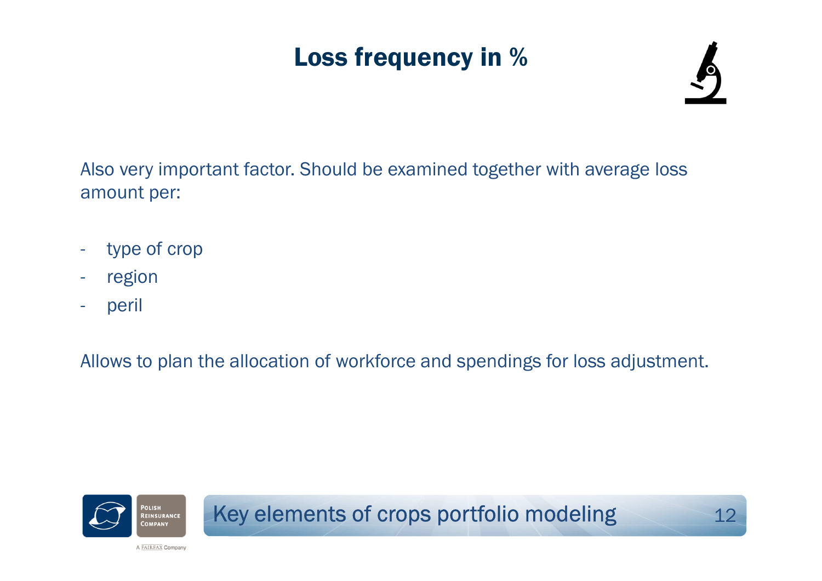## Loss frequency in %



Also very important factor. Should be examined together with average loss amount per:

- type of crop
- region
- peril

Allows to plan the allocation of workforce and spendings for loss adjustment.

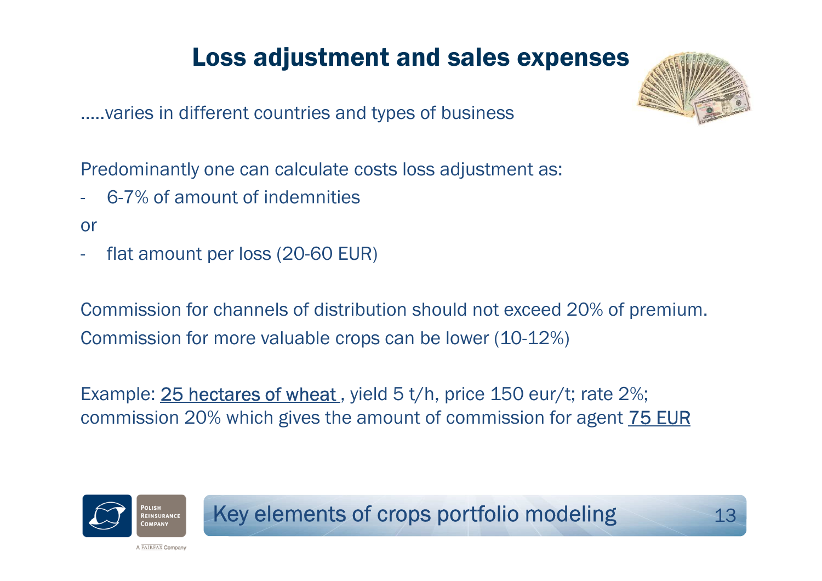### Loss adjustment and sales expenses

…..varies in different countries and types of business

Predominantly one can calculate costs loss adjustment as:

- -6-7% of amount of indemnities
- or
- flat amount per loss (20-60 EUR)

Commission for channels of distribution should not exceed 20% of premium.Commission for more valuable crops can be lower (10-12%)

Example: 25 hectares of wheat, yield 5 t/h, price 150 eur/t; rate 2%; commission 20% which gives the amount of commission for agent 75 EUR



Key elements of crops portfolio modeling

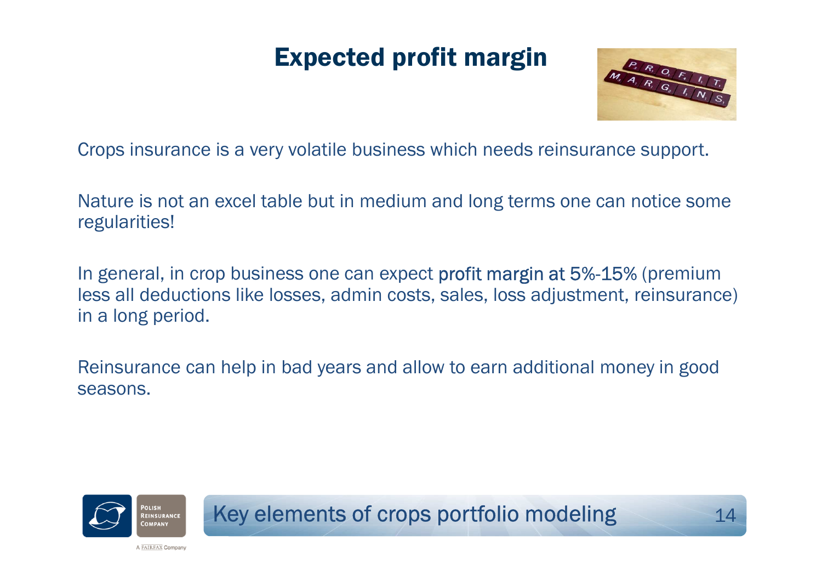### Expected profit margin



Crops insurance is a very volatile business which needs reinsurance support.

Nature is not an excel table but in medium and long terms one can notice some regularities!

In general, in crop business one can expect **profit margin at 5%-15%** (premium<br>less all deductions like lesses, admin easts, seles, less adjustment, reinsurance less all deductions like losses, admin costs, sales, loss adjustment, reinsurance) in a long period.

Reinsurance can help in bad years and allow to earn additional money in good seasons.

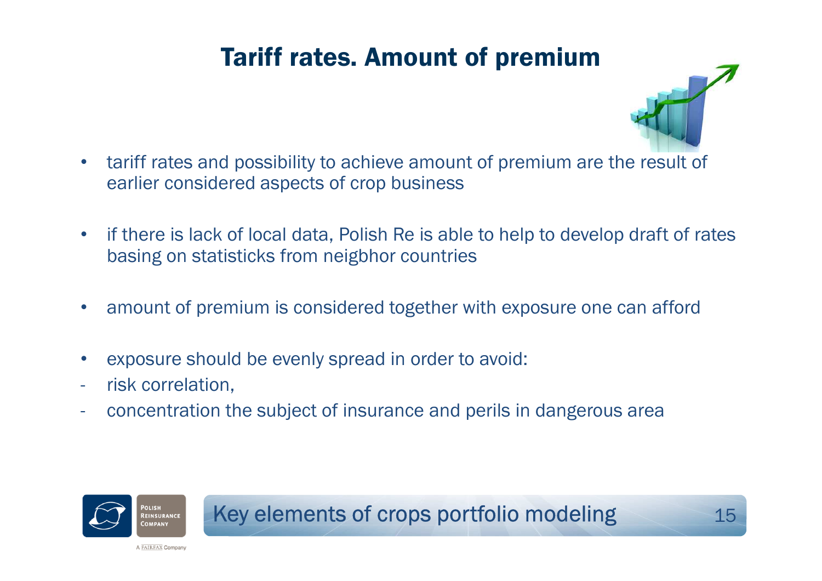### Tariff rates. Amount of premium



- • tariff rates and possibility to achieve amount of premium are the result of earlier considered aspects of crop business
- $\bullet$  if there is lack of local data, Polish Re is able to help to develop draft of rates basing on statisticks from neigbhor countries
- •amount of premium is considered together with exposure one can afford
- •exposure should be evenly spread in order to avoid:
- risk correlation,
- concentration the subject of insurance and perils in dangerous area

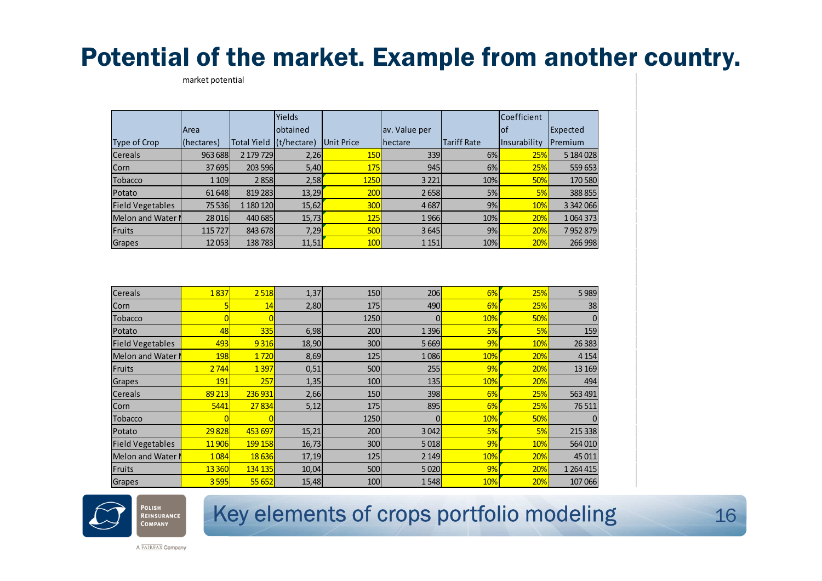### Potential of the market. Example from another country.

market potential

|                         |             |                         | <b>Yields</b> |                   |                  |                    | Coefficient  |           |
|-------------------------|-------------|-------------------------|---------------|-------------------|------------------|--------------------|--------------|-----------|
|                         | <b>Area</b> |                         | lobtained     |                   | av. Value per    |                    | lof          | Expected  |
| Type of Crop            | (hectares)  | Total Yield (t/hectare) |               | <b>Unit Price</b> | <b>I</b> hectare | <b>Tariff Rate</b> | Insurability | Premium   |
| <b>Cereals</b>          | 963 688     | 2 179 729               | 2,26          | <b>150</b>        | 339              | 6%                 | 25%          | 5 184 028 |
| Corn                    | 37695       | 203 596                 | 5,40          | 175               | 945              | 6%                 | 25%          | 559 653   |
| <b>Tobacco</b>          | 1 1 0 9     | 2858                    | 2,58          | <b>1250</b>       | 3 2 2 1          | 10%                | <b>50%</b>   | 170 580   |
| Potato                  | 61 648      | 819 283                 | 13,29         | <b>200</b>        | 2658             | 5%                 | 5%           | 388 855   |
| <b>Field Vegetables</b> | 75 5 36     | 1 180 120               | 15,62         | <b>300</b>        | 4687             | 9%                 | 10%          | 3 342 066 |
| Melon and Water I       | 28 0 16     | 440 685                 | 15,73         | 125               | 1966             | 10%                | 20%          | 1064373   |
| Fruits                  | 115727      | 843 678                 | 7,29          | <b>500</b>        | 3645             | 9%                 | 20%          | 7952879   |
| <b>Grapes</b>           | 12053       | 138783                  | 11,51         | <b>100</b>        | 1 1 5 1          | 10%                | 20%          | 266 998   |

| Cereals                 | 1837    | 2 5 18         | 1,37  | 150        | 206     | 6%  | 25% | 5 9 8 9       |
|-------------------------|---------|----------------|-------|------------|---------|-----|-----|---------------|
| Corn                    |         | 14             | 2,80  | 175        | 490     | 6%  | 25% | 38            |
| <b>Tobacco</b>          |         | $\overline{0}$ |       | 1250       |         | 10% | 50% |               |
| Potato                  | 48      | 335            | 6,98  | 200        | 1 3 9 6 | 5%  | 5%  | 159           |
| <b>Field Vegetables</b> | 493     | 9 3 1 6        | 18,90 | <b>300</b> | 5 6 6 9 | 9%  | 10% | 26 3 83       |
| Melon and Water         | 198     | 1720           | 8,69  | 125        | 1086    | 10% | 20% | 4 1 5 4       |
| Fruits                  | 2744    | 1397           | 0,51  | 500        | 255     | 9%  | 20% | 13 169        |
| Grapes                  | 191     | 257            | 1,35  | 100        | 135     | 10% | 20% | 494           |
| <b>Cereals</b>          | 89 213  | 236 931        | 2,66  | <b>150</b> | 398     | 6%  | 25% | 563 491       |
| Corn                    | 5441    | 27834          | 5,12  | 175        | 895     | 6%  | 25% | 76511         |
| <b>Tobacco</b>          |         |                |       | 1250       |         | 10% | 50% |               |
| Potato                  | 29828   | 453 697        | 15,21 | 200        | 3042    | 5%  | 5%  | 215 338       |
| <b>Field Vegetables</b> | 11906   | 199 158        | 16,73 | 300        | 5018    | 9%  | 10% | 564 010       |
| Melon and Water N       | 1084    | 18 6 36        | 17,19 | 125        | 2 1 4 9 | 10% | 20% | 45 0 11       |
| Fruits                  | 13 3 60 | 134 135        | 10,04 | 500        | 5020    | 9%  | 20% | 1 2 6 4 4 1 5 |
| Grapes                  | 3595    | 55 652         | 15,48 | <b>100</b> | 1548    | 10% | 20% | 107 066       |



### Key elements of crops portfolio modeling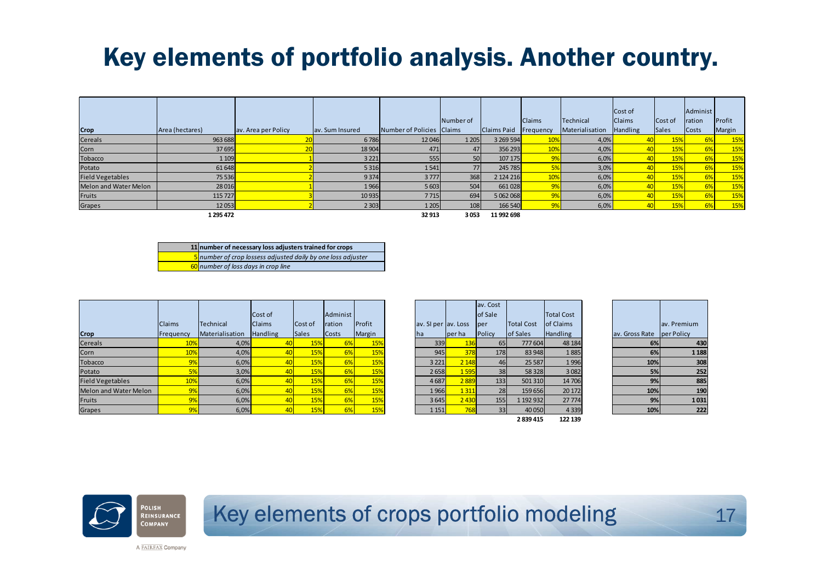### Key elements of portfolio analysis. Another country.

|                         |                 |                     |                 |                           | Number of |                    | <b>Claims</b> | <b>Technical</b> | Cost of<br><b>Claims</b> | Cost of      | Administ<br>ration | Profit |
|-------------------------|-----------------|---------------------|-----------------|---------------------------|-----------|--------------------|---------------|------------------|--------------------------|--------------|--------------------|--------|
| Crop                    | Area (hectares) | av. Area per Policy | av. Sum Insured | Number of Policies Claims |           | <b>Claims Paid</b> | Frequency     | Materialisation  | <b>Handling</b>          | <b>Sales</b> | <b>Costs</b>       | Margin |
| Cereals                 | 963 688         |                     | 6786            | 12 04 6                   | 1 205     | 3 269 594          | 10%           | 4,0%             |                          | 15%          | 6%                 | 15%    |
| Corn                    | 37 695          |                     | 18 904          | 471                       | 47        | 356 293            | 10%           | 4,0%             |                          | 15%          | <b>6%</b>          | 15%    |
| Tobacco                 | 1 1 0 9         |                     | 3 2 2 1         | 555                       | 50        | 107 175            | 9%            | 6,0%             |                          | 15%          | 6%                 | 15%    |
| Potato                  | 61 648          |                     | 5 3 1 6         | 1541                      | 77        | 245 785            |               | 3,0%             |                          | 15%          | 6%                 | 15%    |
| <b>Field Vegetables</b> | 75 536          |                     | 9374            | 3777                      | 368       | 2 124 216          | 10%           | 6,0%             |                          | 15%          | 6%                 | 15%    |
| Melon and Water Melon   | 28 0 16         |                     | 1966            | 5 6 0 3                   | 504       | 661 028            | 9%            | 6,0%             |                          | 15%          | 6%                 | 15%    |
| Fruits                  | 115 727         |                     | 10935           | 7715                      | 694       | 5 062 068          | 9%            | 6,0%             |                          | 15%          | 6%                 | 15%    |
| Grapes                  | 12 0 53         |                     | 2 3 0 3         | 1 2 0 5                   | 108       | 166 540            |               | 6,0%             |                          | 15%          | 6%                 | 15%    |
|                         | 1 295 472       |                     |                 | 32 913                    | 3053      | 11 992 698         |               |                  |                          |              |                    |        |

| 11 number of necessary loss adjusters trained for crops             |
|---------------------------------------------------------------------|
| <b>5</b> number of crop lossess adjusted daily by one loss adjuster |
| 60 number of loss days in crop line                                 |

|                         |               |                  |               |              |          |        |                     |         | av. Cost |                   |                   |                           |             |
|-------------------------|---------------|------------------|---------------|--------------|----------|--------|---------------------|---------|----------|-------------------|-------------------|---------------------------|-------------|
|                         |               |                  | Cost of       |              | Administ |        |                     |         | of Sale  |                   | <b>Total Cost</b> |                           |             |
|                         | <b>Claims</b> | <b>Technical</b> | <b>Claims</b> | Cost of      | ration   | Profit | av. SI per av. Loss |         | lper     | <b>Total Cost</b> | of Claims         |                           | av. Premium |
| Crop                    | Frequency     | Materialisation  | Handling      | <b>Sales</b> | Costs    | Margin | lha                 | per ha  | Policy   | of Sales          | <b>Handling</b>   | av. Gross Rate per Policy |             |
| <b>Cereals</b>          | 10%           | 4,0%             |               | 15%          |          | 15%    | 339                 | 136     | 65       | 777 604           | 48 184            | 6%                        | 430         |
| Corn                    | 10%           | $4,0\%$          |               | 15%          |          | 15%    | 945                 | 378     | 178      | 83 948            | 1885              | 6%                        | 1 1 8 8     |
| <b>Tobacco</b>          |               | 6,0%             |               | 15%          |          | 15%    | 3 2 2 1             | 2 1 4 8 | 46       | 25 5 87           | 1996              | 10%                       | 308         |
| Potato                  |               | 3,0%             |               | 15%          |          | 15%    | 2658                | 1595    | 38       | 58 328            | 3082              | 5%                        | 252         |
| <b>Field Vegetables</b> | 10%           | 6,0%             |               | 15%          | 6%       | 15%    | 4687                | 2889    | 133      | 501 310           | 14706             | 9%                        | 885         |
| Melon and Water Melon   | 9%            | 6,0%             |               | 15%          | 6%       | 15%    | 1966                | 1 3 1 1 | 28       | 159 656           | 20 17 2           | 10%                       | 190         |
| Fruits                  | 9%            | 6,0%             |               | 15%          | 6%       | 15%    | 3645                | 2430    | 155      | 1 192 932         | 27774             | 9%                        | 1031        |
| Grapes                  | 9%            | 6,0%             |               | 15%          | 6%       | 15%    | 1 1 5 1             | 768     | 33       | 40 050            | 4339              | 10%                       | 222         |

|            |           | av. Cost<br>of Sale |                   | <b>Total Cost</b> |
|------------|-----------|---------------------|-------------------|-------------------|
| av. SI per | lav. Loss | per                 | <b>Total Cost</b> | of Claims         |
| ha         | per ha    | Policy              | of Sales          | Handling          |
| 339        | 136       | 65                  | 777 604           | 48 184            |
| 945        | 378       | 178                 | 83 948            | 1885              |
| 3 2 2 1    | 2 1 4 8   | 46                  | 25 5 87           | 1996              |
| 2658       | 1595      | 38                  | 58 3 28           | 3082              |
| 4687       | 2889      | 133                 | 501 310           | 14706             |
| 1966       | 1311      | 28                  | 159 656           | 20 172            |
| 3645       | 2430      | 155                 | 1 192 932         | 27774             |
| 1 1 5 1    | 768       | 33                  | 40 050            | 4339              |
|            |           |                     |                   |                   |

**2 839 415 122 139**

| ıst        |                |             |
|------------|----------------|-------------|
| <b>IS</b>  |                | av. Premium |
| g          | av. Gross Rate | per Policy  |
| 3184       | 6%             | 430         |
| .885       | 6%             | 1 1 8 8     |
| .996       | 10%            | 308         |
| 082        | 5%             | 252         |
| <b>706</b> | 9%             | 885         |
| 172        | 10%            | 190         |
| 774        | 9%             | 1031        |
| 339        | 10%            | 222         |
|            |                |             |



### Key elements of crops portfolio modeling**g** 17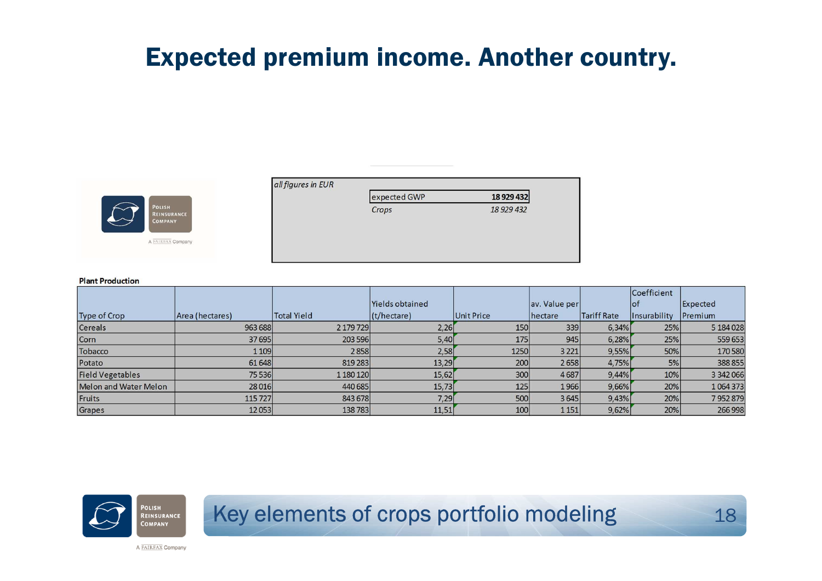### Expected premium income. Another country.



 $allfi$ 

| 18 9 29 4 32 |
|--------------|
| 18 929 432   |
|              |
|              |
|              |

#### **Plant Production**

|                         |                 |                    |                 |                   |               |                    | Coefficient                       |            |
|-------------------------|-----------------|--------------------|-----------------|-------------------|---------------|--------------------|-----------------------------------|------------|
|                         |                 |                    | Yields obtained |                   | av. Value per |                    | lof                               | Expected   |
| Type of Crop            | Area (hectares) | <b>Total Yield</b> | (t/hectare)     | <b>Unit Price</b> | hectare       | <b>Tariff Rate</b> | <i><u><b>Insurability</b></u></i> | Premium    |
| Cereals                 | 963 688         | 2 179 729          | 2,26            | 150               | 339           | 6,34%              | 25%                               | 5 184 0 28 |
| Corn                    | 37 695          | 203 596            | 5,40            | 175               | 945           | 6,28%              | 25%                               | 559 653    |
| Tobacco                 | 1 1 0 9         | 2858               | 2,58            | 1250              | 3 2 2 1       | 9,55%              | 50%                               | 170580     |
| Potato                  | 61 648          | 819 283            | 13,29           | 200               | 2658          | 4,75%              | 5%                                | 388855     |
| <b>Field Vegetables</b> | 75 536          | 1 180 120          | 15,62           | 300               | 4687          | 9,44%              | 10%                               | 3 342 066  |
| Melon and Water Melon   | 28 0 16         | 440 685            | 15,73           | 125               | 1966          | 9,66%              | 20%                               | 1064373    |
| Fruits                  | 115 727         | 843 678            | 7,29            | 500               | 3645          | 9,43%              | 20%                               | 7952879    |
| Grapes                  | 12053           | 138783             | 11,51           | 100               | 1 1 5 1       | 9,62%              | 20%                               | 266 998    |



### Key elements of crops portfolio modeling

<sup>18</sup>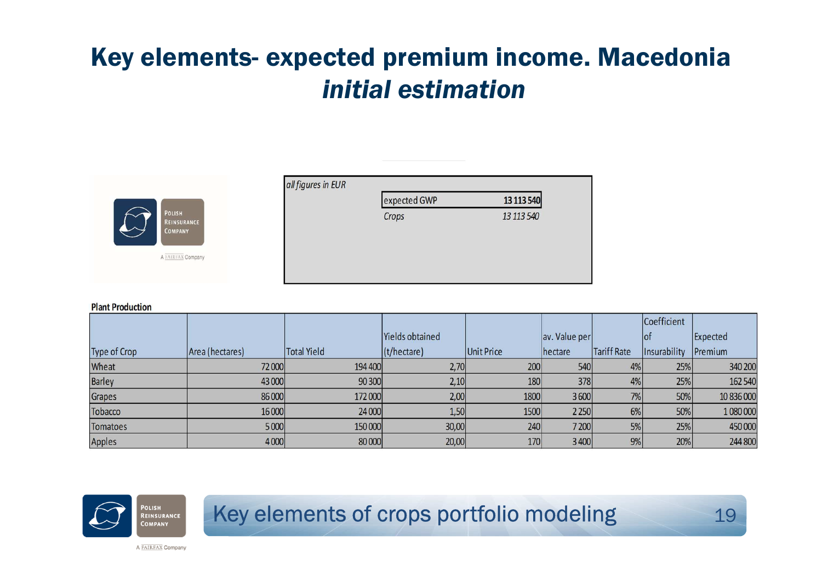### Key elements- expected premium income. Macedonia *initial estimation*



| expected GWP | 13 113 540 |
|--------------|------------|
| Crops        | 13 113 540 |
|              |            |
|              |            |
|              |            |

#### **Plant Production**

|                 |                 |             |                 |                   |               |             | Coefficient  |            |
|-----------------|-----------------|-------------|-----------------|-------------------|---------------|-------------|--------------|------------|
|                 |                 |             | Yields obtained |                   | av. Value per |             | lot          | Expected   |
| Type of Crop    | Area (hectares) | Total Yield | (t/hectare)     | <b>Unit Price</b> | hectare       | Tariff Rate | Insurability | Premium    |
| Wheat           | 72 000          | 194 400     | 2,70            | 200               | 540           | 4%          | 25%          | 340 200    |
| <b>Barley</b>   | 43 000          | 90 300      | 2,10            | 180               | 378           | 4%          | 25%          | 162 540    |
| Grapes          | 86 000          | 172 000     | 2,00            | 1800              | 3600          | 7%          | 50%          | 10 836 000 |
| Tobacco         | 16 000          | 24 000      | 1,50            | 1500              | 2 2 5 0       | 6%          | 50%          | 1 080 000  |
| <b>Tomatoes</b> | 5 000           | 150 000     | 30,00           | 240               | 7 200         | 5%          | 25%          | 450 000    |
| Apples          | 4 0 0 0         | 80 000      | 20,00           | 170               | 3 4 0 0       | 9%          | 20%          | 244 800    |



### Key elements of crops portfolio modeling

<sup>19</sup>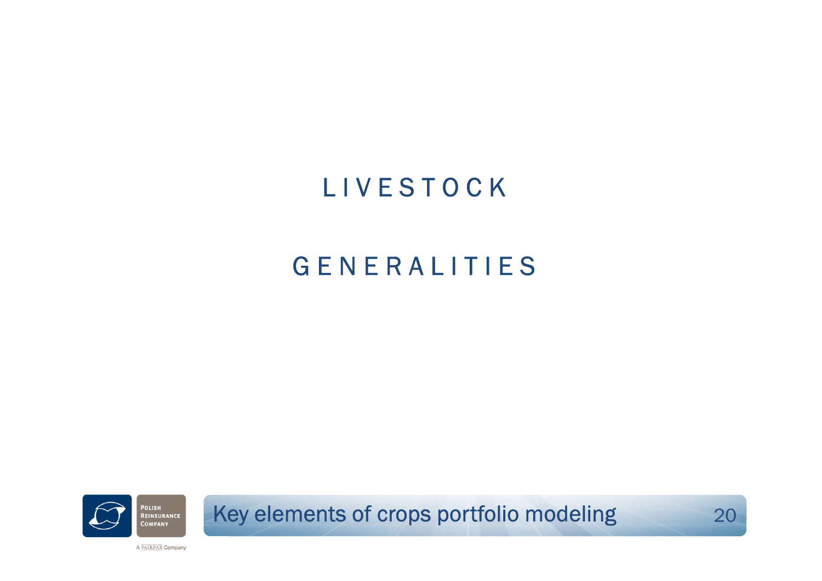# **LIVESTOCK**

### **GENERALITIES**



Key elements of crops portfolio modeling

<sup>20</sup>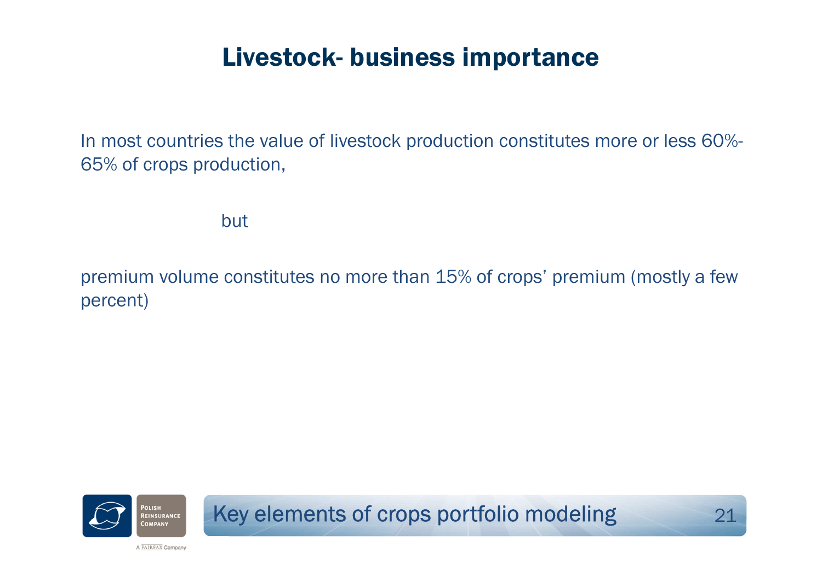### Livestock- business importance

In most countries the value of livestock production constitutes more or less 60%- 65% of crops production,

but

premium volume constitutes no more than 15% of crops' premium (mostly a few<br>percent) percent)



Key elements of crops portfolio modeling

<sup>21</sup>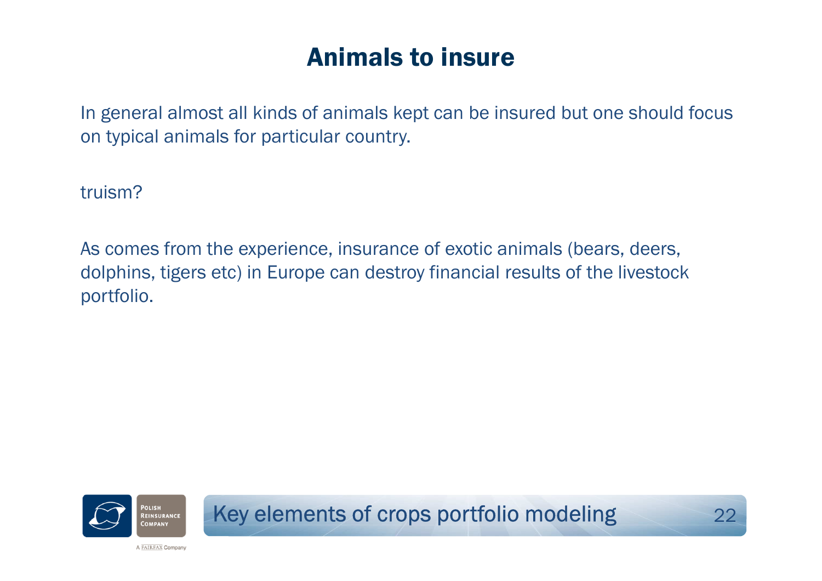### Animals to insure

In general almost all kinds of animals kept can be insured but one should focus on typical animals for particular country.

truism?

As comes from the experience, insurance of exotic animals (bears, deers, dolphins, tigers etc) in Europe can destroy financial results of the livestock portfolio.



Key elements of crops portfolio modeling<sup>22</sup>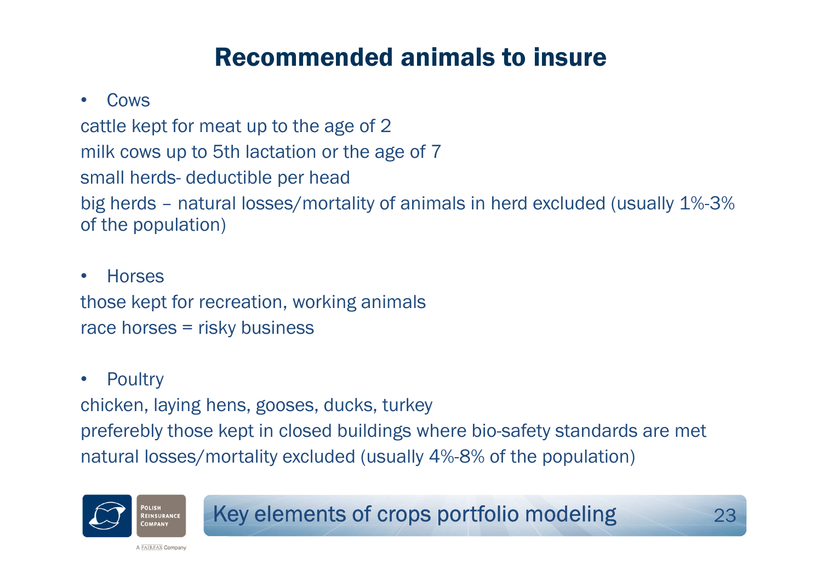### Recommended animals to insure

#### •Cows

cattle kept for meat up to the age of 2 milk cows up to 5th lactation or the age of 7 small herds- deductible per head big herds – natural losses/mortality of animals in herd excluded (usually 1%-3% of the population)

### • Horsesthose kept for recreation, working animals race horses = risky business

#### $\bullet$ **Poultry**

chicken, laying hens, gooses, ducks, turkey preferebly those kept in closed buildings where bio-safety standards are met natural losses/mortality excluded (usually 4%-8% of the population)



Key elements of crops portfolio modeling<sup>23</sup>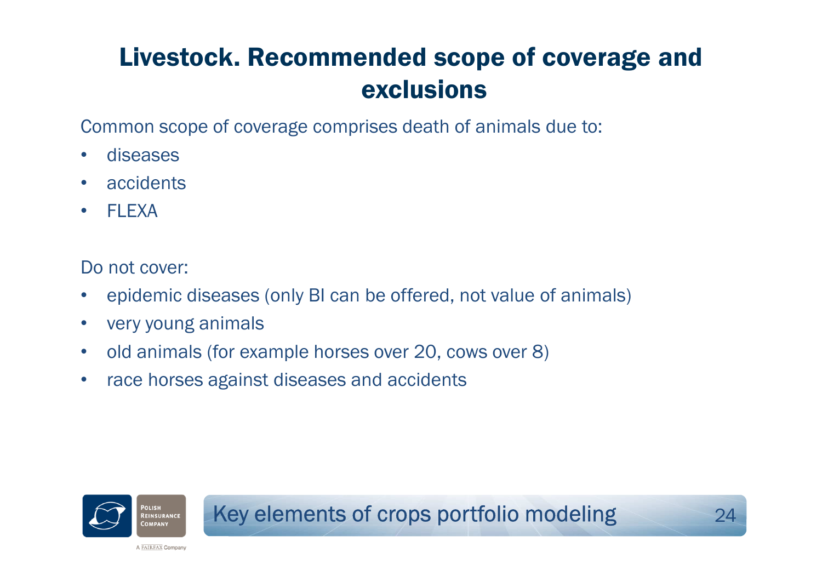## Livestock. Recommended scope of coverage and exclusions

Common scope of coverage comprises death of animals due to:

- •diseases
- •accidents
- •**FLEXA**

Do not cover:

- $\bullet$ epidemic diseases (only BI can be offered, not value of animals)
- •very young animals
- $\bullet$ old animals (for example horses over 20, cows over 8)
- $\bullet$ race horses against diseases and accidents

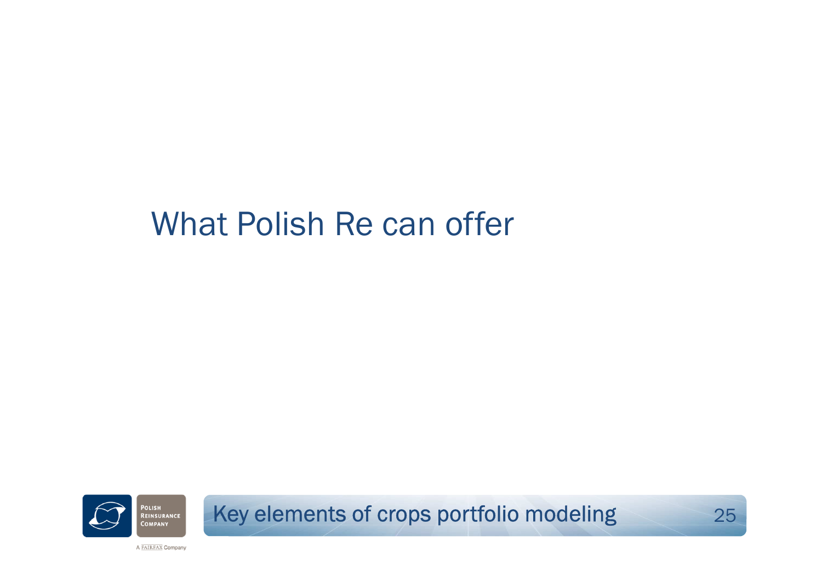# What Polish Re can offer



Key elements of crops portfolio modeling

<sup>25</sup>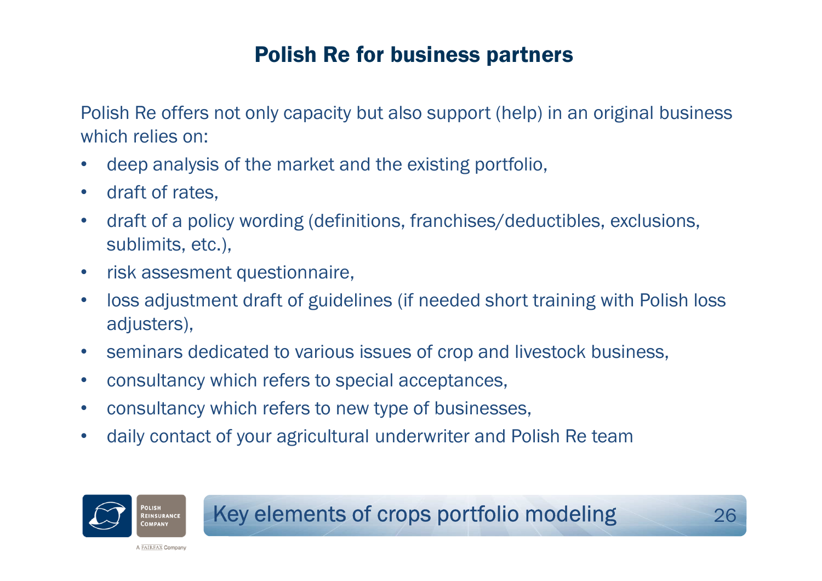### Polish Re for business partners

Polish Re offers not only capacity but also support (help) in an original business which relies on:

- •deep analysis of the market and the existing portfolio,
- $\bullet$ draft of rates,
- • draft of a policy wording (definitions, franchises/deductibles, exclusions, sublimits, etc.),
- •risk assesment questionnaire,
- • loss adjustment draft of guidelines (if needed short training with Polish loss adjusters),
- $\bullet$ seminars dedicated to various issues of crop and livestock business,
- •consultancy which refers to special acceptances,
- $\bullet$ consultancy which refers to new type of businesses,
- •daily contact of your agricultural underwriter and Polish Re team

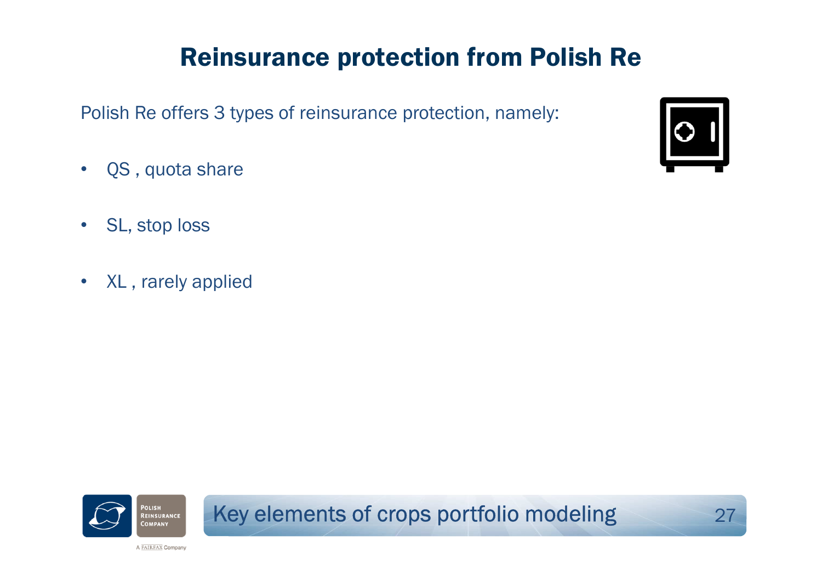## Reinsurance protection from Polish Re

Polish Re offers 3 types of reinsurance protection, namely:

- $\bullet$ QS , quota share
- •SL, stop loss
- $\bullet$ XL , rarely applied





Key elements of crops portfolio modeling

**g** 27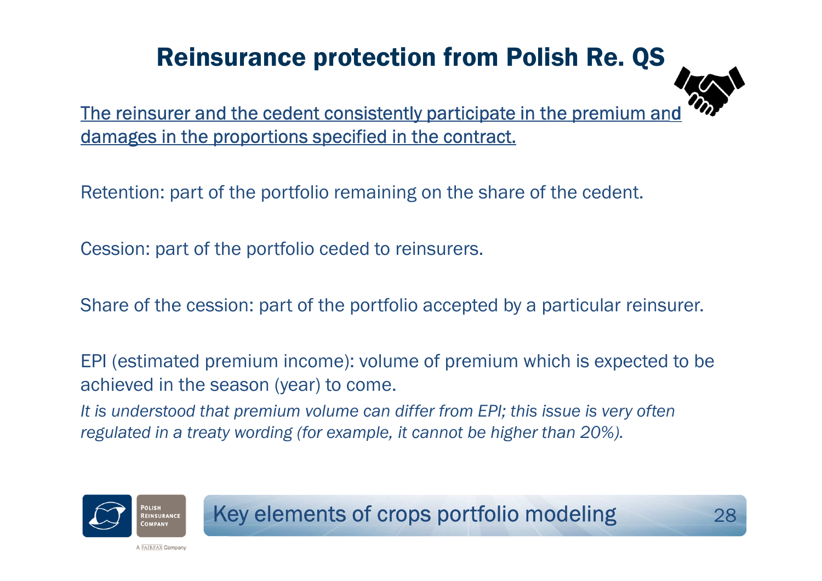## Reinsurance protection from Polish Re. QS



The reinsurer and the cedent consistently participate in the premium and damages in the proportions specified in the contract.

Retention: part of the portfolio remaining on the share of the cedent.

Cession: part of the portfolio ceded to reinsurers.

Share of the cession: part of the portfolio accepted by a particular reinsurer.

EPI (estimated premium income): volume of premium which is expected to be achieved in the season (year) to come.

*It is understood that premium volume can differ from EPI; this issue is very often regulated in a treaty wording (for example, it cannot be higher than 20%).* 



Key elements of crops portfolio modeling<sup>28</sup>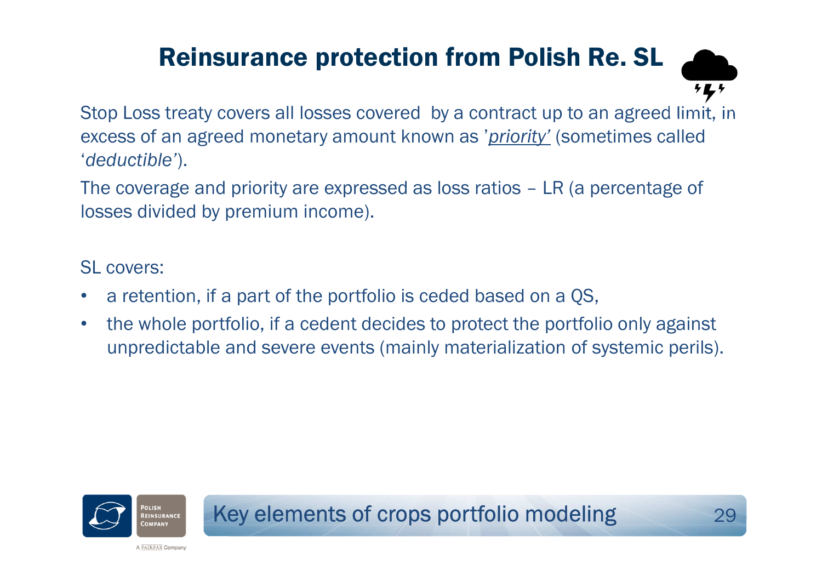## Reinsurance protection from Polish Re. SL



Stop Loss treaty covers all losses covered by a contract up to an agreed limit, in excess of an agreed monetary amount known as '*priority'* (sometimes called '*deductible'*).

The coverage and priority are expressed as loss ratios – LR (a percentage of losses divided by premium income).

### SL covers:

- $\bullet$ a retention, if a part of the portfolio is ceded based on a QS,
- • the whole portfolio, if a cedent decides to protect the portfolio only against unpredictable and severe events (mainly materialization of systemic perils).